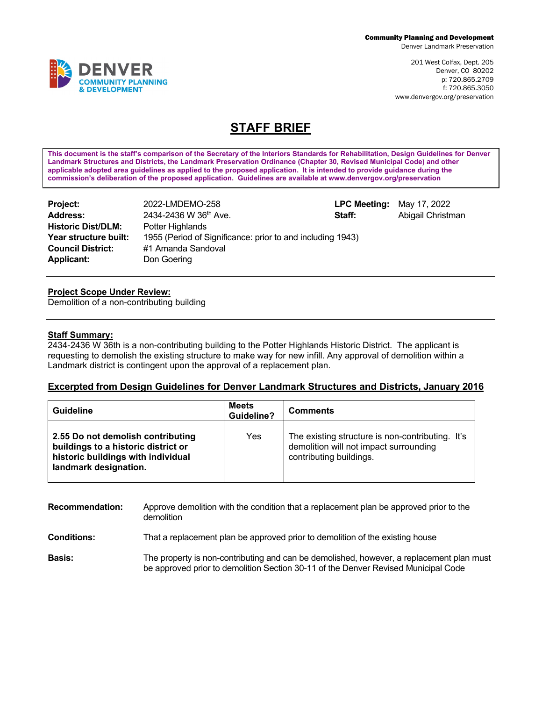Denver Landmark Preservation

201 West Colfax, Dept. 205 Denver, CO 80202 p: 720.865.2709 f: 720.865.3050 www.denvergov.org/preservation

## **STAFF BRIEF**

**This document is the staff's comparison of the Secretary of the Interiors Standards for Rehabilitation, Design Guidelines for Denver Landmark Structures and Districts, the Landmark Preservation Ordinance (Chapter 30, Revised Municipal Code) and other applicable adopted area guidelines as applied to the proposed application. It is intended to provide guidance during the commission's deliberation of the proposed application. Guidelines are available at www.denvergov.org/preservation**

| <b>Project:</b>           | 2022-LMDEMO-258                                            | <b>LPC Meeting:</b> May 17, 2022 | Abigail Christman |
|---------------------------|------------------------------------------------------------|----------------------------------|-------------------|
| <b>Address:</b>           | 2434-2436 W 36th Ave.                                      | Staff:                           |                   |
| <b>Historic Dist/DLM:</b> | Potter Highlands                                           |                                  |                   |
| Year structure built:     | 1955 (Period of Significance: prior to and including 1943) |                                  |                   |
| <b>Council District:</b>  | #1 Amanda Sandoval                                         |                                  |                   |
| <b>Applicant:</b>         | Don Goering                                                |                                  |                   |

## **Project Scope Under Review:**

Demolition of a non-contributing building

## **Staff Summary:**

2434-2436 W 36th is a non-contributing building to the Potter Highlands Historic District. The applicant is requesting to demolish the existing structure to make way for new infill. Any approval of demolition within a Landmark district is contingent upon the approval of a replacement plan.

## **Excerpted from Design Guidelines for Denver Landmark Structures and Districts, January 2016**

| <b>Guideline</b>                                                                                                                        | Meets<br>Guideline? | <b>Comments</b>                                                                                                       |
|-----------------------------------------------------------------------------------------------------------------------------------------|---------------------|-----------------------------------------------------------------------------------------------------------------------|
| 2.55 Do not demolish contributing<br>buildings to a historic district or<br>historic buildings with individual<br>landmark designation. | Yes                 | The existing structure is non-contributing. It's<br>demolition will not impact surrounding<br>contributing buildings. |

| <b>Recommendation:</b> | Approve demolition with the condition that a replacement plan be approved prior to the<br>demolition                                                                           |
|------------------------|--------------------------------------------------------------------------------------------------------------------------------------------------------------------------------|
| <b>Conditions:</b>     | That a replacement plan be approved prior to demolition of the existing house                                                                                                  |
| <b>Basis:</b>          | The property is non-contributing and can be demolished, however, a replacement plan must<br>be approved prior to demolition Section 30-11 of the Denver Revised Municipal Code |

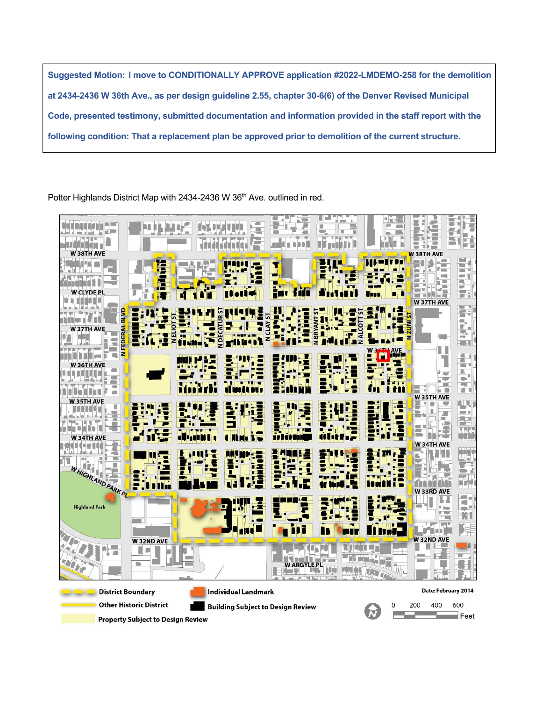**Suggested Motion: I move to CONDITIONALLY APPROVE application #2022-LMDEMO-258 for the demolition at 2434-2436 W 36th Ave., as per design guideline 2.55, chapter 30-6(6) of the Denver Revised Municipal Code, presented testimony, submitted documentation and information provided in the staff report with the following condition: That a replacement plan be approved prior to demolition of the current structure.** 

Potter Highlands District Map with 2434-2436 W 36<sup>th</sup> Ave. outlined in red.